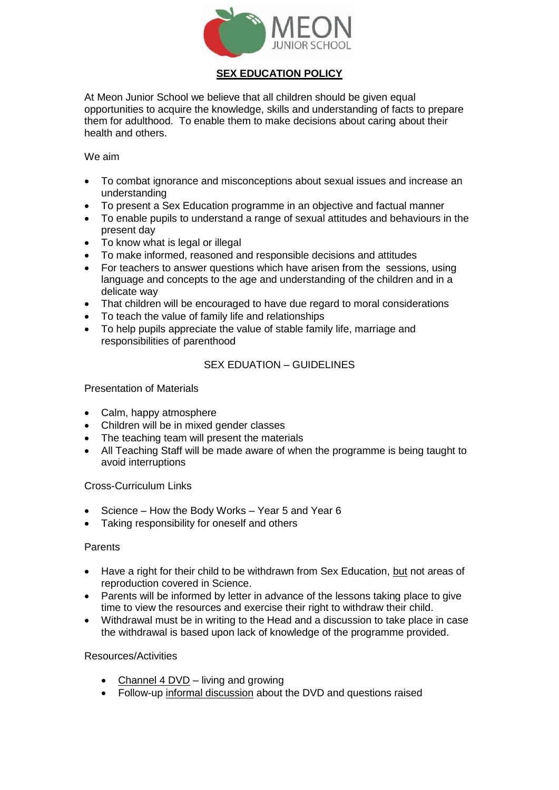

# **SEX EDUCATION POLICY**

At Meon Junior School we believe that all children should be given equal opportunities to acquire the knowledge, skills and understanding of facts to prepare them for adulthood. To enable them to make decisions about caring about their health and others.

We aim

- To combat ignorance and misconceptions about sexual issues and increase an understanding
- To present a Sex Education programme in an objective and factual manner
- To enable pupils to understand a range of sexual attitudes and behaviours in the present day
- To know what is legal or illegal
- To make informed, reasoned and responsible decisions and attitudes
- For teachers to answer questions which have arisen from the sessions, using language and concepts to the age and understanding of the children and in a delicate way
- That children will be encouraged to have due regard to moral considerations
- To teach the value of family life and relationships
- To help pupils appreciate the value of stable family life, marriage and responsibilities of parenthood

## SEX EDUATION – GUIDELINES

### Presentation of Materials

- Calm, happy atmosphere
- Children will be in mixed gender classes
- The teaching team will present the materials
- All Teaching Staff will be made aware of when the programme is being taught to avoid interruptions

### Cross-Curriculum Links

- Science How the Body Works Year 5 and Year 6
- Taking responsibility for oneself and others

### **Parents**

- Have a right for their child to be withdrawn from Sex Education, but not areas of reproduction covered in Science.
- Parents will be informed by letter in advance of the lessons taking place to give time to view the resources and exercise their right to withdraw their child.
- Withdrawal must be in writing to the Head and a discussion to take place in case the withdrawal is based upon lack of knowledge of the programme provided.

#### Resources/Activities

- Channel 4 DVD living and growing
- Follow-up informal discussion about the DVD and questions raised